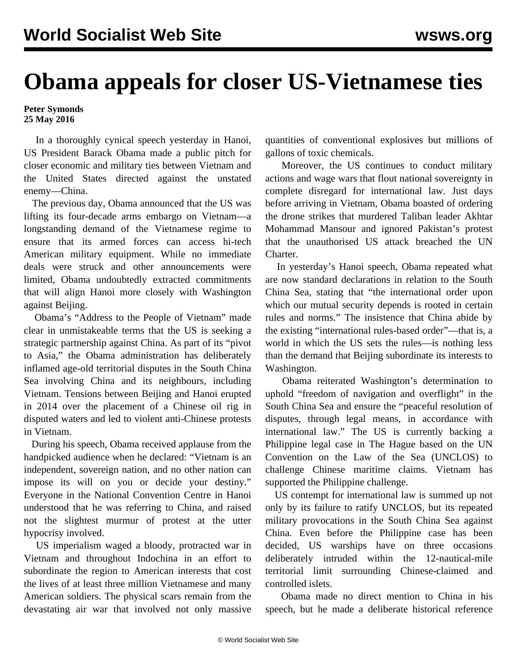## **Obama appeals for closer US-Vietnamese ties**

## **Peter Symonds 25 May 2016**

 In a thoroughly cynical speech yesterday in Hanoi, US President Barack Obama made a public pitch for closer economic and military ties between Vietnam and the United States directed against the unstated enemy—China.

 The previous day, Obama announced that the US was lifting its four-decade arms embargo on Vietnam—a longstanding demand of the Vietnamese regime to ensure that its armed forces can access hi-tech American military equipment. While no immediate deals were struck and other announcements were limited, Obama undoubtedly extracted commitments that will align Hanoi more closely with Washington against Beijing.

 Obama's "Address to the People of Vietnam" made clear in unmistakeable terms that the US is seeking a strategic partnership against China. As part of its "pivot to Asia," the Obama administration has deliberately inflamed age-old territorial disputes in the South China Sea involving China and its neighbours, including Vietnam. Tensions between Beijing and Hanoi erupted in 2014 over the placement of a Chinese oil rig in disputed waters and led to violent anti-Chinese protests in Vietnam.

 During his speech, Obama received applause from the handpicked audience when he declared: "Vietnam is an independent, sovereign nation, and no other nation can impose its will on you or decide your destiny." Everyone in the National Convention Centre in Hanoi understood that he was referring to China, and raised not the slightest murmur of protest at the utter hypocrisy involved.

 US imperialism waged a bloody, protracted war in Vietnam and throughout Indochina in an effort to subordinate the region to American interests that cost the lives of at least three million Vietnamese and many American soldiers. The physical scars remain from the devastating air war that involved not only massive

quantities of conventional explosives but millions of gallons of toxic chemicals.

 Moreover, the US continues to conduct military actions and wage wars that flout national sovereignty in complete disregard for international law. Just days before arriving in Vietnam, Obama boasted of ordering the drone strikes that murdered Taliban leader Akhtar Mohammad Mansour and ignored Pakistan's protest that the unauthorised US attack breached the UN Charter.

 In yesterday's Hanoi speech, Obama repeated what are now standard declarations in relation to the South China Sea, stating that "the international order upon which our mutual security depends is rooted in certain rules and norms." The insistence that China abide by the existing "international rules-based order"—that is, a world in which the US sets the rules—is nothing less than the demand that Beijing subordinate its interests to Washington.

 Obama reiterated Washington's determination to uphold "freedom of navigation and overflight" in the South China Sea and ensure the "peaceful resolution of disputes, through legal means, in accordance with international law." The US is currently backing a Philippine legal case in The Hague based on the UN Convention on the Law of the Sea (UNCLOS) to challenge Chinese maritime claims. Vietnam has supported the Philippine challenge.

 US contempt for international law is summed up not only by its failure to ratify UNCLOS, but its repeated military provocations in the South China Sea against China. Even before the Philippine case has been decided, US warships have on three occasions deliberately intruded within the 12-nautical-mile territorial limit surrounding Chinese-claimed and controlled islets.

 Obama made no direct mention to China in his speech, but he made a deliberate historical reference